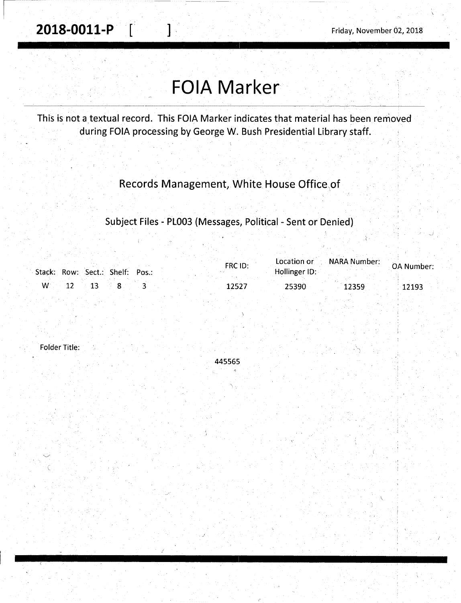# **FOIA Marker**

This is not a textual record. This FOIA Marker indicates that material has been removed during FOIA processing by George W. Bush Presidential Library staff.

### Records Management, White House Office,of

Subject Files - PL003 (Messages, Political - Sent or Denied)

| Stack: Row: Sect.: Shelf: Pos.: | FRC1D: | Hollinger ID: | Location or NARA Number: | OA Number: |
|---------------------------------|--------|---------------|--------------------------|------------|
| $W = 12$ 13                     | 12527  | 25390         | 12359                    | 12193      |

Folder Title:

445565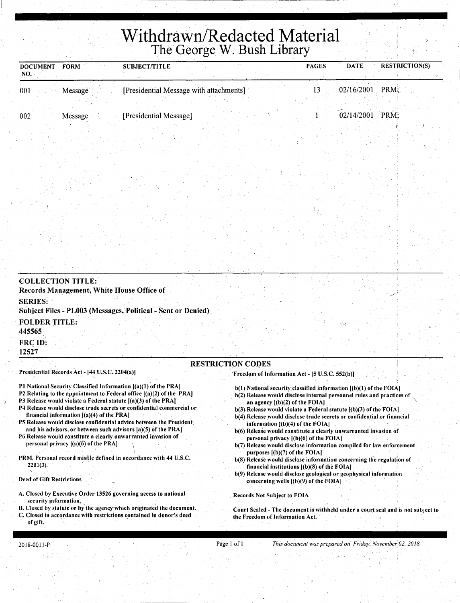# **Withdrawn/Redacted Material**  The George W. Bush Library

| <b>DOCUMENT</b><br>NO. | <b>FORM</b> | <b>SUBJECT/TITLE</b>                    |  | <b>PAGES</b> | <b>DATE</b> | <b>RESTRICTION(S)</b> |
|------------------------|-------------|-----------------------------------------|--|--------------|-------------|-----------------------|
| 001                    | Message     | [Presidential Message with attachments] |  |              | 02/16/2001  | PRM:                  |
| 002                    | Message     | [Presidential Message]                  |  |              | 02/14/2001  | PRM:                  |

| Records Management, White House Office of                                                                                                |                                                                                                                                                 |
|------------------------------------------------------------------------------------------------------------------------------------------|-------------------------------------------------------------------------------------------------------------------------------------------------|
| <b>SERIES:</b><br>Subject Files - PL003 (Messages, Political - Sent or Denied)                                                           |                                                                                                                                                 |
| <b>FOLDER TITLE:</b><br>445565                                                                                                           |                                                                                                                                                 |
| <b>FRC ID:</b><br>12527                                                                                                                  |                                                                                                                                                 |
| Presidential Records Act - [44 U.S.C. 2204(a)]                                                                                           | <b>RESTRICTION CODES</b><br>Freedom of Information Act - [5 U.S.C. 552(b)]                                                                      |
| P1 National Security Classified Information [(a)(1) of the PRA]<br>P2 Relating to the appointment to Federal office $[(a)(2)$ of the PRA | $b(1)$ National security classified information $[(b)(1)$ of the FOIA]<br>h(2) Release would disclose internal nersonnel rules and practices of |

- P3 Release would violate a Federal statute [(a)(3}of the PRA)
- P4 Release would disclose trade secrets or confidential commercial or financial jnformation [(a)(4) of the PRA)
- PS Release would disclose confidential advice between the President, and his advisors, or between such advisors [a)(S) of the PRA]
- P6 Release would constitute a clearly unwarranted invasion of personal privacy  $|(a)(\hat{6})$  of the PRA]
- PRM. Personal record misfile defined in accordance with 44 U.S.C. 2201(3).

#### Deed of Gift Restrictions

- A. Closed by Executive Order 13526 governing access to national security information.
- B. Closed by statute or by the agency which originated the document.
- C. Closed in accordance with restrictions contained in donor's deed of gift.
- b(2) Release would disclose internal personnel rules and practices of an agency  $[(b)(2)$  of the FOIA]
- b(3) Release would violate a Federal statute  $[(b)(3)$  of the FOIA]
- b(4). Release would disclose trade secrets or confidential or financial information [(b)(4) of the FOIA)
- b(6) Release would constitute a clearly unwarranted invasion of personal privacy [(b)(6) of the FOIA)
- b(7) Release would disclose information compiled for law enforcement purposes  $[(b)(7)$  of the FOIA]
- b(8) Release would disclose information concerning the regulation of financial institutions  $(6)(8)$  of the FOIA]
- b(9) Release would disclose geological or geophysical information concerning wells  $[(b)(9)$  of the FOIA]

Records Not Subject to FOIA

Court Sealed - The document is withheld under a court seal and is not subject to the Freedom of Information Act.

Page 1 of 1 *This* doc~ment *was prepared on Friday, November 02, 2018*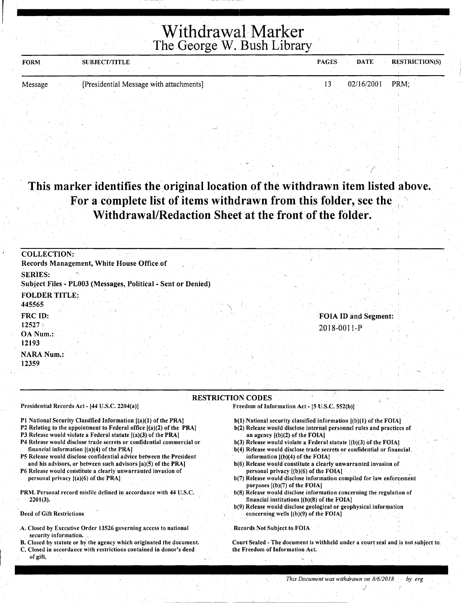## Withdrawal Marker The George W. Bush Library

!--------------\_\_ --;;. \_\_\_\_\_\_\_\_\_\_\_\_ \_\_

| <b>FORM</b> | <b>SUBJECT/TITLE</b> |                                         |  | <b>PAGES</b> | <b>DATE</b> | <b>RESTRICTION(S)</b> |
|-------------|----------------------|-----------------------------------------|--|--------------|-------------|-----------------------|
| Message     |                      | [Presidential Message with attachments] |  |              | 02/16/2001  | PRM:                  |

### This marker identifies the original location of the withdrawn item listed above. For a-complete list of items withdrawn from this folder, see the Withdrawal/Redaction Sheet at the front of the folder.

| <b>COLLECTION:</b>                                                             |  |
|--------------------------------------------------------------------------------|--|
| Records Management, White House Office of                                      |  |
| <b>SERIES:</b><br>Subject Files - PL003 (Messages, Political - Sent or Denied) |  |
| <b>FOLDER TITLE:</b>                                                           |  |
| 445565                                                                         |  |
| FRC ID:<br><b>FOIA ID and Segment:</b>                                         |  |
| 12527<br>2018-0011-P<br>OA Num.:<br>12193                                      |  |
| <b>NARA Num.:</b>                                                              |  |
| 12359                                                                          |  |
| <b>RESTRICTION CODES</b>                                                       |  |

Presidential Records Act - [44 U.S.C. 2204(a)]

P1 National Security Classified Information [(a)(1) of the PRA]

P2 Relating to the appointment to Federal office [(a)(2) of the PRA]

P3 Release would violate a Federal *statute* [(a)(3) of *the* PRA] ·

- P4 Release would disclose trade secrets or confidential commercial or financial information. [(a)(4) of *the* PRA]
- PS Release would disclose confidential advice between *the* President and his advisors, or between such advisors [a)(S) of *the* PRA]

P6 Release would constitute a clearly unwarranted invasion of personal privacy  $[(a)(6)$  of the PRA]

PRM. Personal record misfile defined in accordance with 44 U.S.C. 2201(3).

Deed of Gift Restrictions

- A. Closed by Executive Order 13526 governing access to national security information.
- B. Closed by statute or by the agency which originated the document
- Closed in accordance with restrictions contained in donor's deed of gift,

Freedom of Information Act - [5 U.S.C. 552(b)]

- b(l) National security classified information [(b)(l) of *the* FOIAJ
- b(2) Release would disclose internal personnel rules and practices of an agency  $[(b)(2)$  of the **FOIA**]
- b(3) Release would violate a Federal *statute* [(b)(3) Of *the* FOIA]
- b(4) Release would disclose trade secrets or confidential or financial, information [(b)(4) of *the* FOIA]
- b(6) Release would constitute a clearly unwarranted invasion of personal privacy [(b)(6) of *the* FOIA] .
- b(7) Release would disclose information compiled for law enforcement purposes [(b)(7) of the **FOIA**]
- b(8) Release would disclose information concerning the regulation of financial institutions  $[(b)(8)$  of the FOIA]
- b(9) Release would disclose geological or geophysical information concerning wells  $[(b)(9)$  of the FOIA].

Records Not Subject to FOIA

Court Sealed - The document is withheld under a court seal and is not subject to, the Freedom of Information Act.

J

(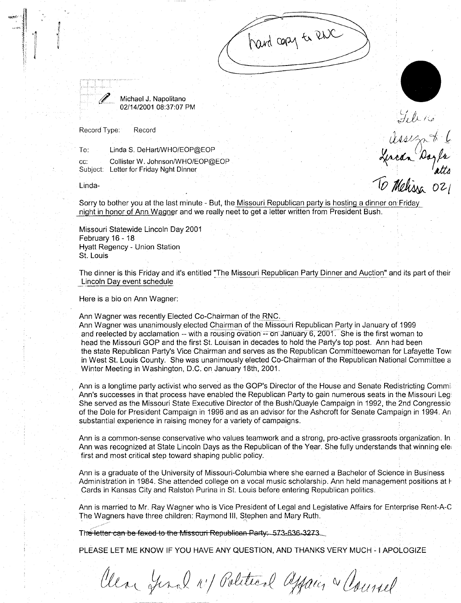Michael J. Napolitano 02/14/2001 08:37:07 PM

Record Type: Record

To: Linda S. DeHart/WHO/EOP@EOP

cc: Collister W. Johnson/WHO/EOP@EOP Subject: Letter for Friday Nght Dinner

Linda-

'

Sorry to bother you at the last minute - But, the Missouri Republican party is hosting a dinner on Friday night in honor of Ann Wagner and we really neet to get a letter written from President Blish.

Missouri Statewide Lincoln Day 2001 February 16 - 18 .Hyatt Regency- Union Station St. Louis

The dinner is this Friday and it's entitled "The Missouri Republican Party Dinner and Auction" and its part of their Lincoln Day event schedule

hard cary to RNC

'.

Televis

Islams<br>General Dayla<br>To Mehissa 021

Here is a bio on Ann Wagner:

Ann Wagner was recently Elected Co-Chairman of the RNC.

· Ann Wagner was unanimously elected Chairman of the Missouri Republican *p\_arty* in January of 1999 and reelected by acclamation -- with a rousing ovation -- on January 6, 2001. She is the first woman to head the Missouri GOP and the first St. Louisan in decades to hold the Party's top post. Ann had been the state Republican Party's Vice Chairman and serves as the Republican Committeewoman for Lafayette Towr in West St. Louis County. She was unanimously elected Co-Chairman of the Republican National Committee a Winter Meeting in Washington, D.C. on January 18th, 2001.

Ann is a longtime party activist who served as the GOP's Director of the House and Senate Redistricting Cammi·· Ann's successes in that process have enabled the Republican Party to gain numerous seats in the Missouri Legi She served as the Missouri State Executive Director of the Bush/Quayle Campaign in 1992, the 2nd Congressio of the Dole for President Campaign in 1996 and as an advisor for the Ashcroft for Senate Campaign in 1994. An substantial experience in raising money for a variety of campaigns.

Ann is a common-sense conservative who values teamwork and a strong, pro-active grassroots :organization. In Ann was recognized at State Lincoln Days as the Republican of the Year. She fully understands that winning ele first and most critical step toward shaping public policy.

Ann is a graduate of the University of Missouri-Columbia where she earned a Bachelor of Science in Business Administration in 1984. She attended college on a vocal music scholarship. Ann held management positions at F Cards in Kansas City and Ralston Purina in St. Louis before entering Republican politics.

Ann is married to Mr. Ray Wagner who is Vice President of Legal and Legislative Affairs for Enterprise Rent-A~c The Wagners have three children: Raymond III, Stephen and Mary Ruth.

. .

The letter can be faxed to the Missouri Republican Party: 573-636-3273

PLEASE LET ME KNOW IF YOU HAVE ANY QUESTION, ANO THANKS VERY MUCH - I APOLOGIZE

Clear final 11/ Political apparent a Counsel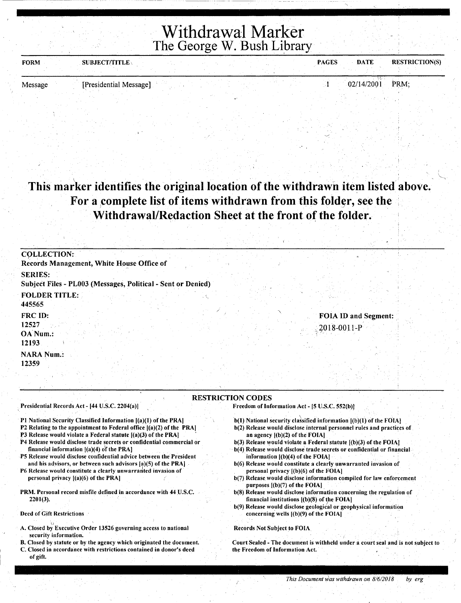**Withdrawal Marker** The George W. Bush Library

| <b>FORM</b> | <b>SUBJECT/TITLE</b>   |  |  | <b>DATE</b><br><b>PAGES</b> | <b>RESTRICTION(S)</b> |
|-------------|------------------------|--|--|-----------------------------|-----------------------|
|             |                        |  |  |                             |                       |
| Message     | [Presidential Message] |  |  | 02/14/2001 PRM;             |                       |

# This marker identifies the original location of the withdrawn item listed above. For a complete list of items withdrawn from this folder, see the Withdrawal/Redaction Sheet at the front of the folder.

| <b>COLLECTION:</b><br>Records Management, White House Office of |                                                              |                   |                      |
|-----------------------------------------------------------------|--------------------------------------------------------------|-------------------|----------------------|
| <b>SERIES:</b>                                                  | Subject Files - PL003 (Messages, Political - Sent or Denied) |                   |                      |
| <b>FOLDER TITLE:</b><br>445565                                  |                                                              |                   |                      |
| FRC ID:<br>12527<br>OA Num.:<br>12193                           |                                                              | $2018 - 0011 - P$ | FOIA ID and Segment: |
| <b>NARA Num.:</b><br>12359                                      |                                                              |                   |                      |

#### RESTRICTION CODES

Presidential Records Act - [44 U.S.C. 2204(a))

P1 National Security Classified Information [(a)(1) of the PRA]

P2 Relating to the appointment to Federal office  $[(a)(2)$  of the PRA]

P3 Release would violate a Federal statute  $[(a)(3)$  of the PRA)

- 'P4 Release would disclose trade secrets or confidential commercial or financial information  $[(a)(4)$  of the PRA]
- PS Release would disclose confidential advice between the President and his advisors, or between such advisors [a)(5) of the PRA]

P6 Release would constitute a clearly unwarranted invasion of personal privacy [(a)(6) of the PRAI

PRM. Personal record misfile defined in accordance with 44 U.S.C.  $2201(3)$ .

Deed of Gift Restrictions

- A. Closed by Executive Order 13526 governing access to national security information.
- B. Closed by statute or by the agency which originated the document.
- C. Closed in accordance with restrictions contained in donor's deed of gift.
- Freedom of Information Act [5 U.S.C. 552(b)]
	- b(1) National security classified information  $[(b)(1)$  of the FOIA]
	- b(2) Release would disclose internal personnel rules and practices of an agency [(b)(2) of the FOIA]
	- $b(3)$  Release would violate a Federal statute  $[(b)(3)$  of the FOIA]
	- b(4) Release would disclose trade secrets or confidential or financial information  $[(b)(4)$  of the FOIA]
	- b(6) Release would constitute a clearly unwarranted invasion of personal privacy [(b)(6) of the FOIA)
	- b(7) Release would disclose information compiled for law enforcement purposes  $[(b)(7)$  of the FOIA].
	- b(8) Release would disclose information concerning the regulation of financial institutions  $[(b)(8)$  of the FOIA]
	- b(9) Release would disclose geological or geophysical information concerning wells  $[(b)(9)$  of the FOIA]

. . I

Records Not Subject to FOIA

Court Sealed - The document is withheld under a court seal and is not subject to the Freedom of Information Act.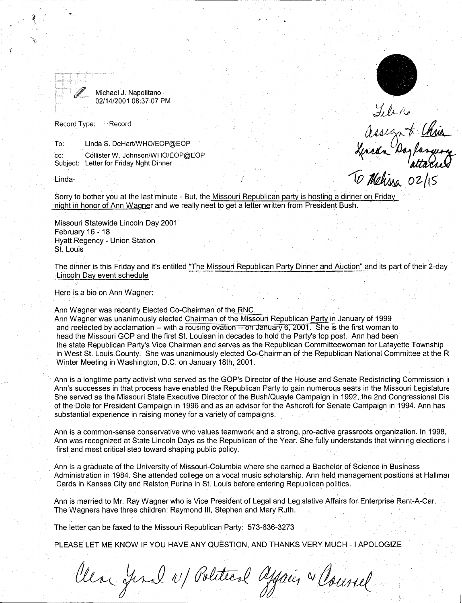

Michael J. Napolitano 02/14/2001 08:37:07 PM

Record Type: Record

To: Linda S. DeHart/WHO/EOP@EOP

cc: Collister W. Johnson/WHO/EOP@EOP Subject: Letter for Friday Nght Dinner

Linda-

Sorry to bother you at the last minute - But, the Missouri Republican party is hosting a dinner on Friday night in honor of Ann Wagner and we really neet to get a letter written from President Bush.

(

Missouri Statewide Lincoln Day 2001 February 16 - 18 Hyatt Regency - Union Station St. Louis

The dinner is this Friday and it's entitled "The Missouri Republican Party Dinner and Auction" and its part of their 2-day Lincoln Day event schedule

Here is a bio on Ann Wagner:

Ann Wagner was recently Elected Co-Chairman of the RNC.

Ann Wagner was unanimously elected Chairman of the Missouri Republican Party in January of 1999 and reelected by acclamation -- with a rousing ovation -- on January 6, 2001. She is the first woman to head the Missouri GOP and the first St. Louisan in decades to hold the Party's top post. Ann had been<sup>1</sup> the state Republican Party's Vice Chairman and serves as the Republican Committeewoman for Lafayette Township in West St. Louis County. She was unanimously elected Co-Chairman of the Republican National Committee at the R Winter Meeting in Washington, D.C. on January 18th, 2001.

Ann is a longtime party activist who served as the GOP's Director of the House and Senate Redistricting Commission ir Ann's successes in that process have enabled the Republican Party to gain numerous seats in the Missouri Legislature She served as the Missouri State Executive Director of the Bush/Quayle Campaign in 1992, the 2nd Congressional Dis of the Dole for President Campaign in 1996 and as an advisor for the Ashcroft for Senate Campaign in 1994. Ann has substantial experience in raising money for a variety of campaigns.

Ann is a common-sense conservative who values teamwork and a strong, pro-active grassroots organization. In 1998, Ann was recognized at State Lincoln Days as the Republican of the Year. She fully understands that winning elections i first and most critical step toward shaping public policy.

Ann is a graduate of the University of Missouri-Columbia where she earned a Bachelor of Science in Business Administration in 1984. She attended college on a vocal music scholarship. Ann held management positions at Hallmar Cards in Kansas City and Ralston Purina in St. Louis before entering Republican politics.

Ann is married to Mr. Ray Wagner who is Vice President of Legal and Legislative Affairs for Enterprise Rent-A-Car. The Wagners have three children: Raymond III, Stephen and Mary Ruth.

The letter can be faxed to the Missouri Republican Party: 573-636-3273

PLEASE LET ME KNOW IF YOU HAVE ANY QUESTION, AND THANKS VERY MUCH - I APOLOGIZE

Clear Jonal 11/ Political apparent & Council

Illico<br>assign to Chris<br>Lincon Daylancian